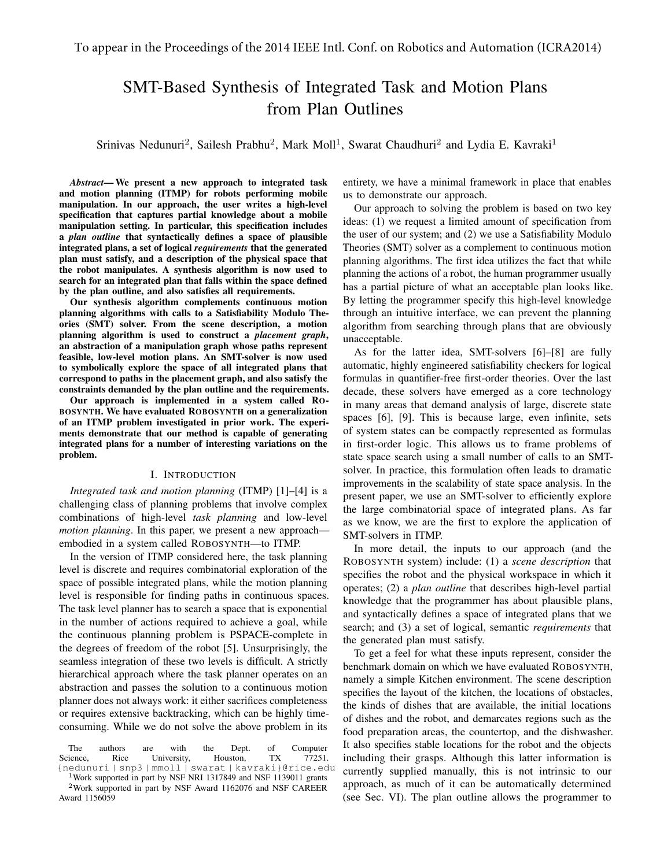# SMT-Based Synthesis of Integrated Task and Motion Plans from Plan Outlines

Srinivas Nedunuri<sup>2</sup>, Sailesh Prabhu<sup>2</sup>, Mark Moll<sup>1</sup>, Swarat Chaudhuri<sup>2</sup> and Lydia E. Kavraki<sup>1</sup>

*Abstract*— We present a new approach to integrated task and motion planning (ITMP) for robots performing mobile manipulation. In our approach, the user writes a high-level specification that captures partial knowledge about a mobile manipulation setting. In particular, this specification includes a *plan outline* that syntactically defines a space of plausible integrated plans, a set of logical *requirements* that the generated plan must satisfy, and a description of the physical space that the robot manipulates. A synthesis algorithm is now used to search for an integrated plan that falls within the space defined by the plan outline, and also satisfies all requirements.

Our synthesis algorithm complements continuous motion planning algorithms with calls to a Satisfiability Modulo Theories (SMT) solver. From the scene description, a motion planning algorithm is used to construct a *placement graph*, an abstraction of a manipulation graph whose paths represent feasible, low-level motion plans. An SMT-solver is now used to symbolically explore the space of all integrated plans that correspond to paths in the placement graph, and also satisfy the constraints demanded by the plan outline and the requirements.

Our approach is implemented in a system called RO-BOSYNTH. We have evaluated ROBOSYNTH on a generalization of an ITMP problem investigated in prior work. The experiments demonstrate that our method is capable of generating integrated plans for a number of interesting variations on the problem.

#### I. INTRODUCTION

*Integrated task and motion planning* (ITMP) [1]–[4] is a challenging class of planning problems that involve complex combinations of high-level *task planning* and low-level *motion planning*. In this paper, we present a new approach– embodied in a system called ROBOSYNTH—to ITMP.

In the version of ITMP considered here, the task planning level is discrete and requires combinatorial exploration of the space of possible integrated plans, while the motion planning level is responsible for finding paths in continuous spaces. The task level planner has to search a space that is exponential in the number of actions required to achieve a goal, while the continuous planning problem is PSPACE-complete in the degrees of freedom of the robot [5]. Unsurprisingly, the seamless integration of these two levels is difficult. A strictly hierarchical approach where the task planner operates on an abstraction and passes the solution to a continuous motion planner does not always work: it either sacrifices completeness or requires extensive backtracking, which can be highly timeconsuming. While we do not solve the above problem in its

The authors are with the Dept. of Computer ience, Rice University, Houston, TX 77251. Science, Rice University, Houston, TX 77251. {nedunuri | snp3 | mmoll | swarat | kavraki}@rice.edu <sup>1</sup>Work supported in part by NSF NRI 1317849 and NSF 1139011 grants

<sup>2</sup>Work supported in part by NSF Award 1162076 and NSF CAREER

entirety, we have a minimal framework in place that enables us to demonstrate our approach.

Our approach to solving the problem is based on two key ideas: (1) we request a limited amount of specification from the user of our system; and (2) we use a Satisfiability Modulo Theories (SMT) solver as a complement to continuous motion planning algorithms. The first idea utilizes the fact that while planning the actions of a robot, the human programmer usually has a partial picture of what an acceptable plan looks like. By letting the programmer specify this high-level knowledge through an intuitive interface, we can prevent the planning algorithm from searching through plans that are obviously unacceptable.

As for the latter idea, SMT-solvers [6]–[8] are fully automatic, highly engineered satisfiability checkers for logical formulas in quantifier-free first-order theories. Over the last decade, these solvers have emerged as a core technology in many areas that demand analysis of large, discrete state spaces [6], [9]. This is because large, even infinite, sets of system states can be compactly represented as formulas in first-order logic. This allows us to frame problems of state space search using a small number of calls to an SMTsolver. In practice, this formulation often leads to dramatic improvements in the scalability of state space analysis. In the present paper, we use an SMT-solver to efficiently explore the large combinatorial space of integrated plans. As far as we know, we are the first to explore the application of SMT-solvers in ITMP.

In more detail, the inputs to our approach (and the ROBOSYNTH system) include: (1) a *scene description* that specifies the robot and the physical workspace in which it operates; (2) a *plan outline* that describes high-level partial knowledge that the programmer has about plausible plans, and syntactically defines a space of integrated plans that we search; and (3) a set of logical, semantic *requirements* that the generated plan must satisfy.

To get a feel for what these inputs represent, consider the benchmark domain on which we have evaluated ROBOSYNTH, namely a simple Kitchen environment. The scene description specifies the layout of the kitchen, the locations of obstacles, the kinds of dishes that are available, the initial locations of dishes and the robot, and demarcates regions such as the food preparation areas, the countertop, and the dishwasher. It also specifies stable locations for the robot and the objects including their grasps. Although this latter information is currently supplied manually, this is not intrinsic to our approach, as much of it can be automatically determined (see Sec. VI). The plan outline allows the programmer to

Award 1156059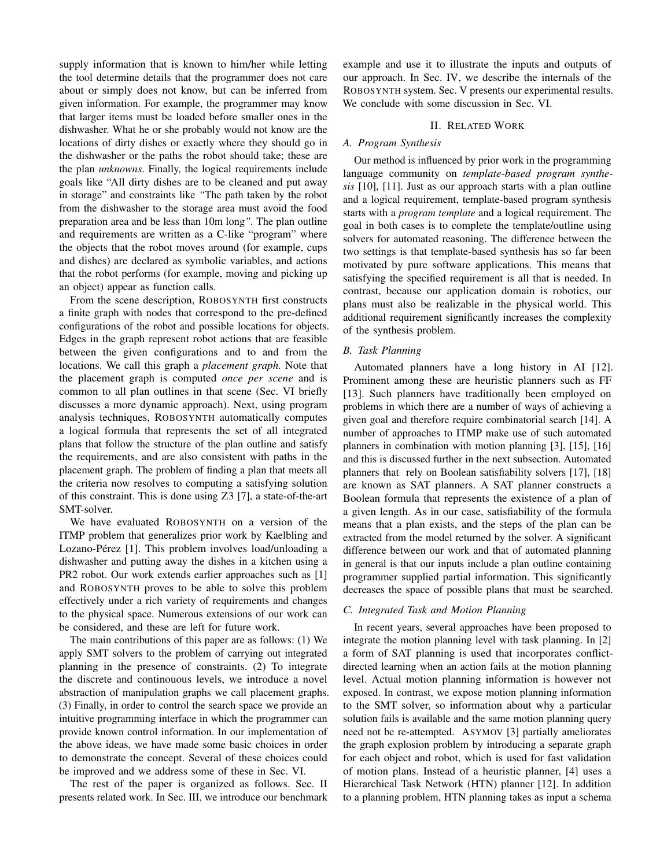supply information that is known to him/her while letting the tool determine details that the programmer does not care about or simply does not know, but can be inferred from given information. For example, the programmer may know that larger items must be loaded before smaller ones in the dishwasher. What he or she probably would not know are the locations of dirty dishes or exactly where they should go in the dishwasher or the paths the robot should take; these are the plan *unknowns*. Finally, the logical requirements include goals like "All dirty dishes are to be cleaned and put away in storage" and constraints like *"*The path taken by the robot from the dishwasher to the storage area must avoid the food preparation area and be less than 10m long*".* The plan outline and requirements are written as a C-like "program" where the objects that the robot moves around (for example, cups and dishes) are declared as symbolic variables, and actions that the robot performs (for example, moving and picking up an object) appear as function calls.

From the scene description, ROBOSYNTH first constructs a finite graph with nodes that correspond to the pre-defined configurations of the robot and possible locations for objects. Edges in the graph represent robot actions that are feasible between the given configurations and to and from the locations. We call this graph a *placement graph.* Note that the placement graph is computed *once per scene* and is common to all plan outlines in that scene (Sec. VI briefly discusses a more dynamic approach). Next, using program analysis techniques, ROBOSYNTH automatically computes a logical formula that represents the set of all integrated plans that follow the structure of the plan outline and satisfy the requirements, and are also consistent with paths in the placement graph. The problem of finding a plan that meets all the criteria now resolves to computing a satisfying solution of this constraint. This is done using Z3 [7], a state-of-the-art SMT-solver.

We have evaluated ROBOSYNTH on a version of the ITMP problem that generalizes prior work by Kaelbling and Lozano-Pérez [1]. This problem involves load/unloading a dishwasher and putting away the dishes in a kitchen using a PR2 robot. Our work extends earlier approaches such as [1] and ROBOSYNTH proves to be able to solve this problem effectively under a rich variety of requirements and changes to the physical space. Numerous extensions of our work can be considered, and these are left for future work.

The main contributions of this paper are as follows: (1) We apply SMT solvers to the problem of carrying out integrated planning in the presence of constraints. (2) To integrate the discrete and continouous levels, we introduce a novel abstraction of manipulation graphs we call placement graphs. (3) Finally, in order to control the search space we provide an intuitive programming interface in which the programmer can provide known control information. In our implementation of the above ideas, we have made some basic choices in order to demonstrate the concept. Several of these choices could be improved and we address some of these in Sec. VI.

The rest of the paper is organized as follows. Sec. II presents related work. In Sec. III, we introduce our benchmark example and use it to illustrate the inputs and outputs of our approach. In Sec. IV, we describe the internals of the ROBOSYNTH system. Sec. V presents our experimental results. We conclude with some discussion in Sec. VI.

## II. RELATED WORK

# *A. Program Synthesis*

Our method is influenced by prior work in the programming language community on *template-based program synthesis* [10], [11]. Just as our approach starts with a plan outline and a logical requirement, template-based program synthesis starts with a *program template* and a logical requirement. The goal in both cases is to complete the template/outline using solvers for automated reasoning. The difference between the two settings is that template-based synthesis has so far been motivated by pure software applications. This means that satisfying the specified requirement is all that is needed. In contrast, because our application domain is robotics, our plans must also be realizable in the physical world. This additional requirement significantly increases the complexity of the synthesis problem.

## *B. Task Planning*

Automated planners have a long history in AI [12]. Prominent among these are heuristic planners such as FF [13]. Such planners have traditionally been employed on problems in which there are a number of ways of achieving a given goal and therefore require combinatorial search [14]. A number of approaches to ITMP make use of such automated planners in combination with motion planning [3], [15], [16] and this is discussed further in the next subsection. Automated planners that rely on Boolean satisfiability solvers [17], [18] are known as SAT planners. A SAT planner constructs a Boolean formula that represents the existence of a plan of a given length. As in our case, satisfiability of the formula means that a plan exists, and the steps of the plan can be extracted from the model returned by the solver. A significant difference between our work and that of automated planning in general is that our inputs include a plan outline containing programmer supplied partial information. This significantly decreases the space of possible plans that must be searched.

#### *C. Integrated Task and Motion Planning*

In recent years, several approaches have been proposed to integrate the motion planning level with task planning. In [2] a form of SAT planning is used that incorporates conflictdirected learning when an action fails at the motion planning level. Actual motion planning information is however not exposed. In contrast, we expose motion planning information to the SMT solver, so information about why a particular solution fails is available and the same motion planning query need not be re-attempted. ASYMOV [3] partially ameliorates the graph explosion problem by introducing a separate graph for each object and robot, which is used for fast validation of motion plans. Instead of a heuristic planner, [4] uses a Hierarchical Task Network (HTN) planner [12]. In addition to a planning problem, HTN planning takes as input a schema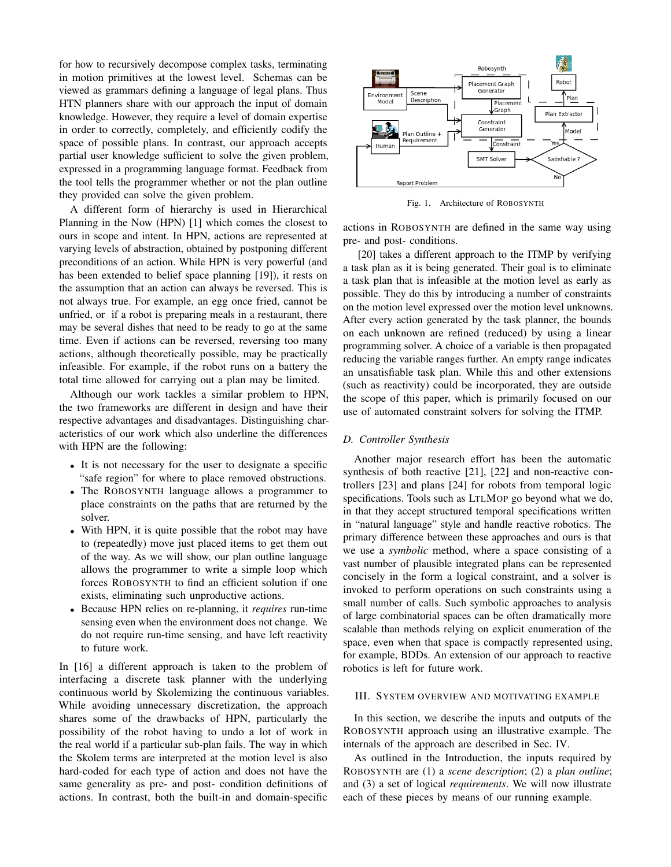for how to recursively decompose complex tasks, terminating in motion primitives at the lowest level. Schemas can be viewed as grammars defining a language of legal plans. Thus HTN planners share with our approach the input of domain knowledge. However, they require a level of domain expertise in order to correctly, completely, and efficiently codify the space of possible plans. In contrast, our approach accepts partial user knowledge sufficient to solve the given problem, expressed in a programming language format. Feedback from the tool tells the programmer whether or not the plan outline they provided can solve the given problem.

A different form of hierarchy is used in Hierarchical Planning in the Now (HPN) [1] which comes the closest to ours in scope and intent. In HPN, actions are represented at varying levels of abstraction, obtained by postponing different preconditions of an action. While HPN is very powerful (and has been extended to belief space planning [19]), it rests on the assumption that an action can always be reversed. This is not always true. For example, an egg once fried, cannot be unfried, or if a robot is preparing meals in a restaurant, there may be several dishes that need to be ready to go at the same time. Even if actions can be reversed, reversing too many actions, although theoretically possible, may be practically infeasible. For example, if the robot runs on a battery the total time allowed for carrying out a plan may be limited.

Although our work tackles a similar problem to HPN, the two frameworks are different in design and have their respective advantages and disadvantages. Distinguishing characteristics of our work which also underline the differences with HPN are the following:

- It is not necessary for the user to designate a specific "safe region" for where to place removed obstructions.
- The ROBOSYNTH language allows a programmer to place constraints on the paths that are returned by the solver.
- With HPN, it is quite possible that the robot may have to (repeatedly) move just placed items to get them out of the way. As we will show, our plan outline language allows the programmer to write a simple loop which forces ROBOSYNTH to find an efficient solution if one exists, eliminating such unproductive actions.
- Because HPN relies on re-planning, it *requires* run-time sensing even when the environment does not change. We do not require run-time sensing, and have left reactivity to future work.

In [16] a different approach is taken to the problem of interfacing a discrete task planner with the underlying continuous world by Skolemizing the continuous variables. While avoiding unnecessary discretization, the approach shares some of the drawbacks of HPN, particularly the possibility of the robot having to undo a lot of work in the real world if a particular sub-plan fails. The way in which the Skolem terms are interpreted at the motion level is also hard-coded for each type of action and does not have the same generality as pre- and post- condition definitions of actions. In contrast, both the built-in and domain-specific



Fig. 1. Architecture of ROBOSYNTH

actions in ROBOSYNTH are defined in the same way using pre- and post- conditions.

[20] takes a different approach to the ITMP by verifying a task plan as it is being generated. Their goal is to eliminate a task plan that is infeasible at the motion level as early as possible. They do this by introducing a number of constraints on the motion level expressed over the motion level unknowns. After every action generated by the task planner, the bounds on each unknown are refined (reduced) by using a linear programming solver. A choice of a variable is then propagated reducing the variable ranges further. An empty range indicates an unsatisfiable task plan. While this and other extensions (such as reactivity) could be incorporated, they are outside the scope of this paper, which is primarily focused on our use of automated constraint solvers for solving the ITMP.

## *D. Controller Synthesis*

Another major research effort has been the automatic synthesis of both reactive [21], [22] and non-reactive controllers [23] and plans [24] for robots from temporal logic specifications. Tools such as LTLMOP go beyond what we do, in that they accept structured temporal specifications written in "natural language" style and handle reactive robotics. The primary difference between these approaches and ours is that we use a *symbolic* method, where a space consisting of a vast number of plausible integrated plans can be represented concisely in the form a logical constraint, and a solver is invoked to perform operations on such constraints using a small number of calls. Such symbolic approaches to analysis of large combinatorial spaces can be often dramatically more scalable than methods relying on explicit enumeration of the space, even when that space is compactly represented using, for example, BDDs. An extension of our approach to reactive robotics is left for future work.

#### III. SYSTEM OVERVIEW AND MOTIVATING EXAMPLE

In this section, we describe the inputs and outputs of the ROBOSYNTH approach using an illustrative example. The internals of the approach are described in Sec. IV.

As outlined in the Introduction, the inputs required by ROBOSYNTH are (1) a *scene description*; (2) a *plan outline*; and (3) a set of logical *requirements*. We will now illustrate each of these pieces by means of our running example.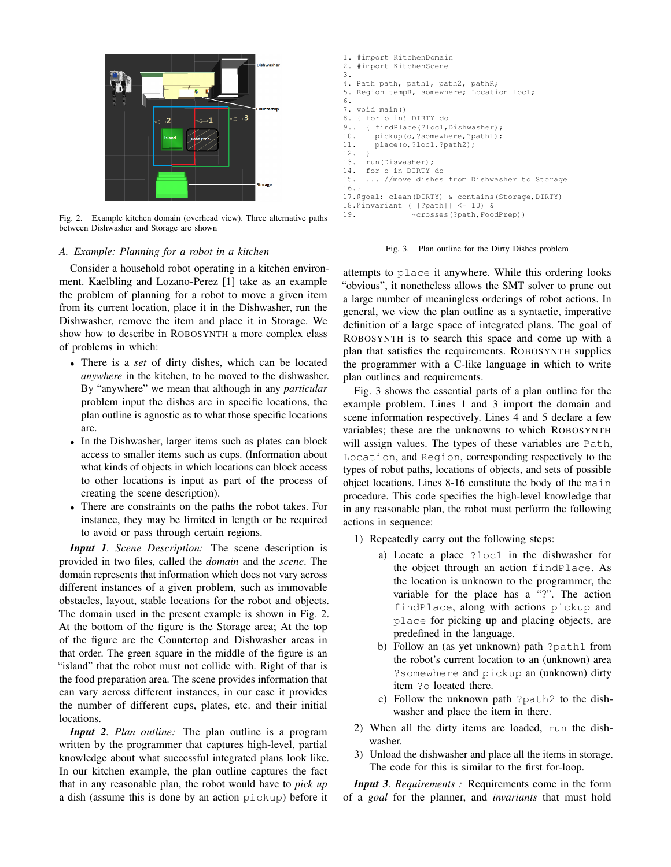

Fig. 2. Example kitchen domain (overhead view). Three alternative paths between Dishwasher and Storage are shown

#### *A. Example: Planning for a robot in a kitchen*

Consider a household robot operating in a kitchen environment. Kaelbling and Lozano-Perez [1] take as an example the problem of planning for a robot to move a given item from its current location, place it in the Dishwasher, run the Dishwasher, remove the item and place it in Storage. We show how to describe in ROBOSYNTH a more complex class of problems in which:

- There is a *set* of dirty dishes, which can be located *anywhere* in the kitchen, to be moved to the dishwasher. By "anywhere" we mean that although in any *particular* problem input the dishes are in specific locations, the plan outline is agnostic as to what those specific locations are.
- In the Dishwasher, larger items such as plates can block access to smaller items such as cups. (Information about what kinds of objects in which locations can block access to other locations is input as part of the process of creating the scene description).
- There are constraints on the paths the robot takes. For instance, they may be limited in length or be required to avoid or pass through certain regions.

*Input 1. Scene Description:* The scene description is provided in two files, called the *domain* and the *scene*. The domain represents that information which does not vary across different instances of a given problem, such as immovable obstacles, layout, stable locations for the robot and objects. The domain used in the present example is shown in Fig. 2. At the bottom of the figure is the Storage area; At the top of the figure are the Countertop and Dishwasher areas in that order. The green square in the middle of the figure is an "island" that the robot must not collide with. Right of that is the food preparation area. The scene provides information that can vary across different instances, in our case it provides the number of different cups, plates, etc. and their initial locations.

*Input 2. Plan outline:* The plan outline is a program written by the programmer that captures high-level, partial knowledge about what successful integrated plans look like. In our kitchen example, the plan outline captures the fact that in any reasonable plan, the robot would have to *pick up* a dish (assume this is done by an action pickup) before it

```
1. #import KitchenDomain
2. #import KitchenScene
3.
4. Path path, path1, path2, pathR;
5. Region tempR, somewhere; Location loc1;
6.
7. void main()
8. { for o in! DIRTY do
9.. { findPlace(?loc1,Dishwasher);
10. pickup(o,?somewhere,?path1);<br>11. place(o,?loc1,?path2);
        place(o, ?loc1, ?path2);
\frac{12}{13}.
13. run(Diswasher);<br>14. for o in DIRTY
14. for o in DIRTY do<br>15. ... //move dishes
      ... //move dishes from Dishwasher to Storage
16.}
17.@goal: clean(DIRTY) & contains(Storage,DIRTY)
18.@invariant (||?path|| <= 10) &
19. ~crosses(?path,FoodPrep))
```
Fig. 3. Plan outline for the Dirty Dishes problem

attempts to place it anywhere. While this ordering looks "obvious", it nonetheless allows the SMT solver to prune out a large number of meaningless orderings of robot actions. In general, we view the plan outline as a syntactic, imperative definition of a large space of integrated plans. The goal of ROBOSYNTH is to search this space and come up with a plan that satisfies the requirements. ROBOSYNTH supplies the programmer with a C-like language in which to write plan outlines and requirements.

Fig. 3 shows the essential parts of a plan outline for the example problem. Lines 1 and 3 import the domain and scene information respectively. Lines 4 and 5 declare a few variables; these are the unknowns to which ROBOSYNTH will assign values. The types of these variables are Path, Location, and Region, corresponding respectively to the types of robot paths, locations of objects, and sets of possible object locations. Lines 8-16 constitute the body of the main procedure. This code specifies the high-level knowledge that in any reasonable plan, the robot must perform the following actions in sequence:

- 1) Repeatedly carry out the following steps:
	- a) Locate a place ?loc1 in the dishwasher for the object through an action findPlace. As the location is unknown to the programmer, the variable for the place has a "?". The action findPlace, along with actions pickup and place for picking up and placing objects, are predefined in the language.
	- b) Follow an (as yet unknown) path ?path1 from the robot's current location to an (unknown) area ?somewhere and pickup an (unknown) dirty item ?o located there.
	- c) Follow the unknown path ?path2 to the dishwasher and place the item in there.
- 2) When all the dirty items are loaded, run the dishwasher.
- 3) Unload the dishwasher and place all the items in storage. The code for this is similar to the first for-loop.

*Input 3. Requirements :* Requirements come in the form of a *goal* for the planner, and *invariants* that must hold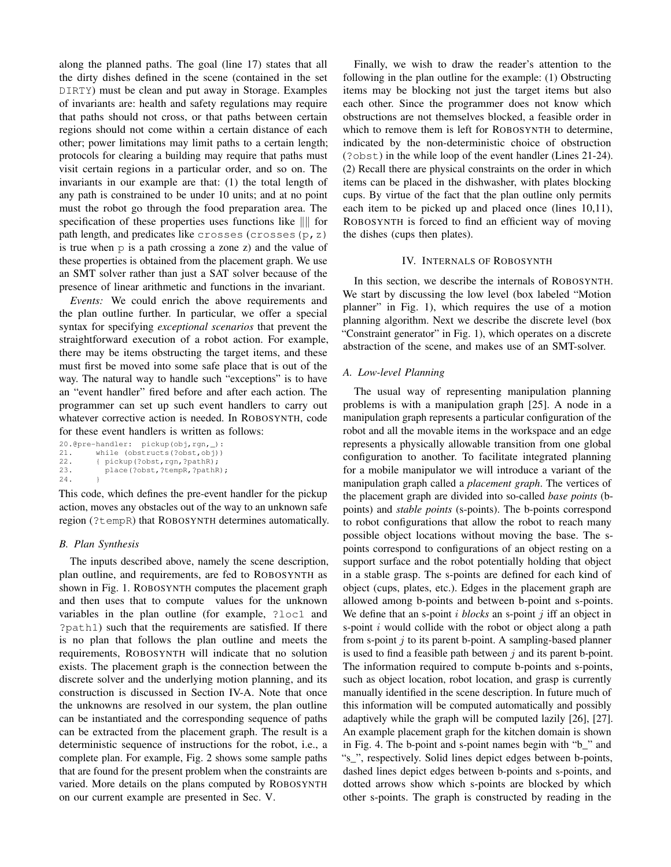along the planned paths. The goal (line 17) states that all the dirty dishes defined in the scene (contained in the set DIRTY) must be clean and put away in Storage. Examples of invariants are: health and safety regulations may require that paths should not cross, or that paths between certain regions should not come within a certain distance of each other; power limitations may limit paths to a certain length; protocols for clearing a building may require that paths must visit certain regions in a particular order, and so on. The invariants in our example are that: (1) the total length of any path is constrained to be under 10 units; and at no point must the robot go through the food preparation area. The specification of these properties uses functions like  $\| \|$  for path length, and predicates like crosses (crosses(p,z) is true when p is a path crossing a zone z) and the value of these properties is obtained from the placement graph. We use an SMT solver rather than just a SAT solver because of the presence of linear arithmetic and functions in the invariant.

*Events:* We could enrich the above requirements and the plan outline further. In particular, we offer a special syntax for specifying *exceptional scenarios* that prevent the straightforward execution of a robot action. For example, there may be items obstructing the target items, and these must first be moved into some safe place that is out of the way. The natural way to handle such "exceptions" is to have an "event handler" fired before and after each action. The programmer can set up such event handlers to carry out whatever corrective action is needed. In ROBOSYNTH, code for these event handlers is written as follows:

```
20.@pre-handler: pickup(obj,rgn,_):
21. while (obstructs(?obst,obj))<br>22. { pickup(?obst,rgn,?pathR);
          22. { pickup(?obst,rgn,?pathR);
23. place(?obst,?tempR,?pathR);
2.4.
```
This code, which defines the pre-event handler for the pickup action, moves any obstacles out of the way to an unknown safe region (?tempR) that ROBOSYNTH determines automatically.

#### *B. Plan Synthesis*

The inputs described above, namely the scene description, plan outline, and requirements, are fed to ROBOSYNTH as shown in Fig. 1. ROBOSYNTH computes the placement graph and then uses that to compute values for the unknown variables in the plan outline (for example, ?loc1 and ?path1) such that the requirements are satisfied. If there is no plan that follows the plan outline and meets the requirements, ROBOSYNTH will indicate that no solution exists. The placement graph is the connection between the discrete solver and the underlying motion planning, and its construction is discussed in Section IV-A. Note that once the unknowns are resolved in our system, the plan outline can be instantiated and the corresponding sequence of paths can be extracted from the placement graph. The result is a deterministic sequence of instructions for the robot, i.e., a complete plan. For example, Fig. 2 shows some sample paths that are found for the present problem when the constraints are varied. More details on the plans computed by ROBOSYNTH on our current example are presented in Sec. V.

Finally, we wish to draw the reader's attention to the following in the plan outline for the example: (1) Obstructing items may be blocking not just the target items but also each other. Since the programmer does not know which obstructions are not themselves blocked, a feasible order in which to remove them is left for ROBOSYNTH to determine, indicated by the non-deterministic choice of obstruction (?obst) in the while loop of the event handler (Lines 21-24). (2) Recall there are physical constraints on the order in which items can be placed in the dishwasher, with plates blocking cups. By virtue of the fact that the plan outline only permits each item to be picked up and placed once (lines 10,11), ROBOSYNTH is forced to find an efficient way of moving the dishes (cups then plates).

### IV. INTERNALS OF ROBOSYNTH

In this section, we describe the internals of ROBOSYNTH. We start by discussing the low level (box labeled "Motion planner" in Fig. 1), which requires the use of a motion planning algorithm. Next we describe the discrete level (box "Constraint generator" in Fig. 1), which operates on a discrete abstraction of the scene, and makes use of an SMT-solver.

#### *A. Low-level Planning*

The usual way of representing manipulation planning problems is with a manipulation graph [25]. A node in a manipulation graph represents a particular configuration of the robot and all the movable items in the workspace and an edge represents a physically allowable transition from one global configuration to another. To facilitate integrated planning for a mobile manipulator we will introduce a variant of the manipulation graph called a *placement graph*. The vertices of the placement graph are divided into so-called *base points* (bpoints) and *stable points* (s-points). The b-points correspond to robot configurations that allow the robot to reach many possible object locations without moving the base. The spoints correspond to configurations of an object resting on a support surface and the robot potentially holding that object in a stable grasp. The s-points are defined for each kind of object (cups, plates, etc.). Edges in the placement graph are allowed among b-points and between b-point and s-points. We define that an s-point *i blocks* an s-point *j* iff an object in s-point  $i$  would collide with the robot or object along a path from s-point  $j$  to its parent b-point. A sampling-based planner is used to find a feasible path between  $j$  and its parent b-point. The information required to compute b-points and s-points, such as object location, robot location, and grasp is currently manually identified in the scene description. In future much of this information will be computed automatically and possibly adaptively while the graph will be computed lazily [26], [27]. An example placement graph for the kitchen domain is shown in Fig. 4. The b-point and s-point names begin with "b\_" and "s\_", respectively. Solid lines depict edges between b-points, dashed lines depict edges between b-points and s-points, and dotted arrows show which s-points are blocked by which other s-points. The graph is constructed by reading in the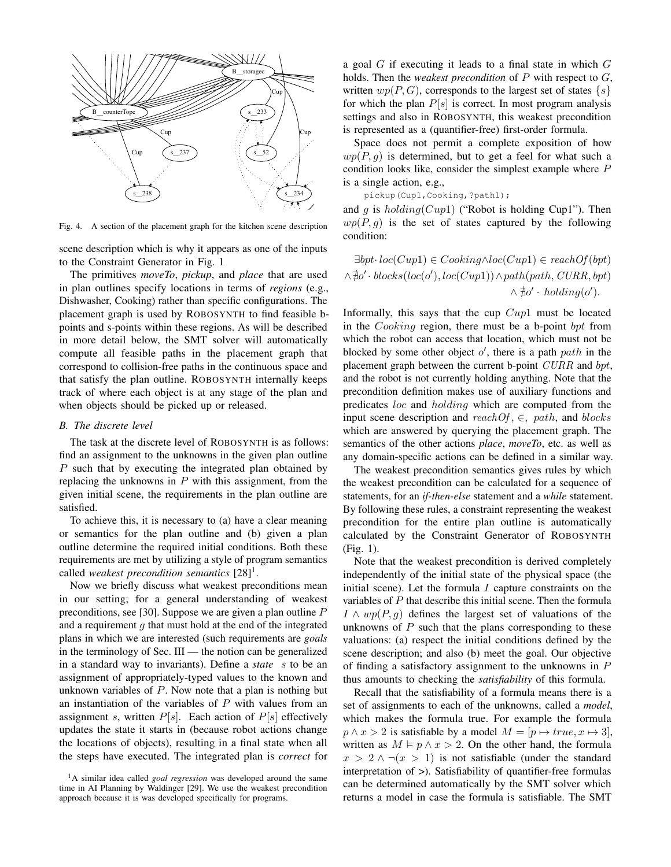

Fig. 4. A section of the placement graph for the kitchen scene description

scene description which is why it appears as one of the inputs to the Constraint Generator in Fig. 1

The primitives *moveTo*, *pickup*, and *place* that are used in plan outlines specify locations in terms of *regions* (e.g., Dishwasher, Cooking) rather than specific configurations. The placement graph is used by ROBOSYNTH to find feasible bpoints and s-points within these regions. As will be described in more detail below, the SMT solver will automatically compute all feasible paths in the placement graph that correspond to collision-free paths in the continuous space and that satisfy the plan outline. ROBOSYNTH internally keeps track of where each object is at any stage of the plan and when objects should be picked up or released.

### *B. The discrete level*

The task at the discrete level of ROBOSYNTH is as follows: find an assignment to the unknowns in the given plan outline P such that by executing the integrated plan obtained by replacing the unknowns in  $P$  with this assignment, from the given initial scene, the requirements in the plan outline are satisfied.

To achieve this, it is necessary to (a) have a clear meaning or semantics for the plan outline and (b) given a plan outline determine the required initial conditions. Both these requirements are met by utilizing a style of program semantics called *weakest precondition semantics* [28]<sup>1</sup>.

Now we briefly discuss what weakest preconditions mean in our setting; for a general understanding of weakest preconditions, see [30]. Suppose we are given a plan outline P and a requirement  $g$  that must hold at the end of the integrated plans in which we are interested (such requirements are *goals* in the terminology of Sec. III — the notion can be generalized in a standard way to invariants). Define a *state* s to be an assignment of appropriately-typed values to the known and unknown variables of  $P$ . Now note that a plan is nothing but an instantiation of the variables of  $P$  with values from an assignment s, written  $P[s]$ . Each action of  $P[s]$  effectively updates the state it starts in (because robot actions change the locations of objects), resulting in a final state when all the steps have executed. The integrated plan is *correct* for a goal  $G$  if executing it leads to a final state in which  $G$ holds. Then the *weakest precondition* of P with respect to G, written  $wp(P, G)$ , corresponds to the largest set of states  $\{s\}$ for which the plan  $P[s]$  is correct. In most program analysis settings and also in ROBOSYNTH, this weakest precondition is represented as a (quantifier-free) first-order formula.

Space does not permit a complete exposition of how  $wp(P, q)$  is determined, but to get a feel for what such a condition looks like, consider the simplest example where P is a single action, e.g.,

pickup(Cup1,Cooking,?path1);

and g is  $holding(Cup1)$  ("Robot is holding Cup1"). Then  $wp(P, g)$  is the set of states captured by the following condition:

 $\exists bpt \cdot loc(Cup1) \in Cobking \land loc(Cup1) \in reachOf(bpt)$  $\wedge \overline{\sharp}o' \cdot blocks(loc(o'), loc(Cup1)) \wedge path(path, CURR, bpt)$  $\wedge \overline{\sharp o}' \cdot \text{holding}(o').$ 

Informally, this says that the cup  $Cup1$  must be located in the Cooking region, there must be a b-point bpt from which the robot can access that location, which must not be blocked by some other object  $o'$ , there is a path path in the placement graph between the current b-point CURR and bpt, and the robot is not currently holding anything. Note that the precondition definition makes use of auxiliary functions and predicates loc and holding which are computed from the input scene description and reachOf,  $\in$ , path, and blocks which are answered by querying the placement graph. The semantics of the other actions *place*, *moveTo*, etc. as well as any domain-specific actions can be defined in a similar way.

The weakest precondition semantics gives rules by which the weakest precondition can be calculated for a sequence of statements, for an *if-then-else* statement and a *while* statement. By following these rules, a constraint representing the weakest precondition for the entire plan outline is automatically calculated by the Constraint Generator of ROBOSYNTH (Fig. 1).

Note that the weakest precondition is derived completely independently of the initial state of the physical space (the initial scene). Let the formula  $I$  capture constraints on the variables of P that describe this initial scene. Then the formula  $I \wedge wp(P, g)$  defines the largest set of valuations of the unknowns of  $P$  such that the plans corresponding to these valuations: (a) respect the initial conditions defined by the scene description; and also (b) meet the goal. Our objective of finding a satisfactory assignment to the unknowns in P thus amounts to checking the *satisfiability* of this formula.

Recall that the satisfiability of a formula means there is a set of assignments to each of the unknowns, called a *model*, which makes the formula true. For example the formula  $p \wedge x > 2$  is satisfiable by a model  $M = [p \mapsto true, x \mapsto 3]$ , written as  $M \models p \land x > 2$ . On the other hand, the formula  $x > 2 \land \neg(x > 1)$  is not satisfiable (under the standard interpretation of >). Satisfiability of quantifier-free formulas can be determined automatically by the SMT solver which returns a model in case the formula is satisfiable. The SMT

<sup>&</sup>lt;sup>1</sup>A similar idea called *goal regression* was developed around the same time in AI Planning by Waldinger [29]. We use the weakest precondition approach because it is was developed specifically for programs.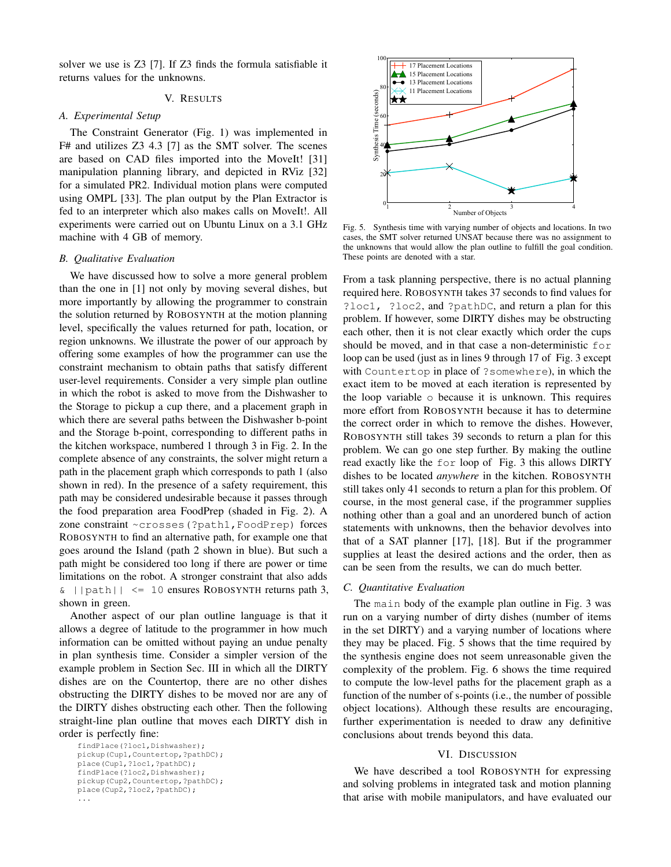solver we use is Z3 [7]. If Z3 finds the formula satisfiable it returns values for the unknowns.

#### V. RESULTS

### *A. Experimental Setup*

The Constraint Generator (Fig. 1) was implemented in F# and utilizes Z3 4.3 [7] as the SMT solver. The scenes are based on CAD files imported into the MoveIt! [31] manipulation planning library, and depicted in RViz [32] for a simulated PR2. Individual motion plans were computed using OMPL [33]. The plan output by the Plan Extractor is fed to an interpreter which also makes calls on MoveIt!. All experiments were carried out on Ubuntu Linux on a 3.1 GHz machine with 4 GB of memory.

#### *B. Qualitative Evaluation*

We have discussed how to solve a more general problem than the one in [1] not only by moving several dishes, but more importantly by allowing the programmer to constrain the solution returned by ROBOSYNTH at the motion planning level, specifically the values returned for path, location, or region unknowns. We illustrate the power of our approach by offering some examples of how the programmer can use the constraint mechanism to obtain paths that satisfy different user-level requirements. Consider a very simple plan outline in which the robot is asked to move from the Dishwasher to the Storage to pickup a cup there, and a placement graph in which there are several paths between the Dishwasher b-point and the Storage b-point, corresponding to different paths in the kitchen workspace, numbered 1 through 3 in Fig. 2. In the complete absence of any constraints, the solver might return a path in the placement graph which corresponds to path 1 (also shown in red). In the presence of a safety requirement, this path may be considered undesirable because it passes through the food preparation area FoodPrep (shaded in Fig. 2). A zone constraint ~crosses(?path1,FoodPrep) forces ROBOSYNTH to find an alternative path, for example one that goes around the Island (path 2 shown in blue). But such a path might be considered too long if there are power or time limitations on the robot. A stronger constraint that also adds & ||path|| <= 10 ensures ROBOSYNTH returns path 3, shown in green.

Another aspect of our plan outline language is that it allows a degree of latitude to the programmer in how much information can be omitted without paying an undue penalty in plan synthesis time. Consider a simpler version of the example problem in Section Sec. III in which all the DIRTY dishes are on the Countertop, there are no other dishes obstructing the DIRTY dishes to be moved nor are any of the DIRTY dishes obstructing each other. Then the following straight-line plan outline that moves each DIRTY dish in order is perfectly fine:

findPlace(?loc1,Dishwasher); pickup(Cup1,Countertop,?pathDC); place(Cup1,?loc1,?pathDC); findPlace(?loc2,Dishwasher); pickup(Cup2,Countertop,?pathDC); place(Cup2,?loc2,?pathDC); ...



Fig. 5. Synthesis time with varying number of objects and locations. In two cases, the SMT solver returned UNSAT because there was no assignment to the unknowns that would allow the plan outline to fulfill the goal condition. These points are denoted with a star.

From a task planning perspective, there is no actual planning required here. ROBOSYNTH takes 37 seconds to find values for ?loc1, ?loc2, and ?pathDC, and return a plan for this problem. If however, some DIRTY dishes may be obstructing each other, then it is not clear exactly which order the cups should be moved, and in that case a non-deterministic for loop can be used (just as in lines 9 through 17 of Fig. 3 except with Countertop in place of ?somewhere), in which the exact item to be moved at each iteration is represented by the loop variable o because it is unknown. This requires more effort from ROBOSYNTH because it has to determine the correct order in which to remove the dishes. However, ROBOSYNTH still takes 39 seconds to return a plan for this problem. We can go one step further. By making the outline read exactly like the for loop of Fig. 3 this allows DIRTY dishes to be located *anywhere* in the kitchen. ROBOSYNTH still takes only 41 seconds to return a plan for this problem. Of course, in the most general case, if the programmer supplies nothing other than a goal and an unordered bunch of action statements with unknowns, then the behavior devolves into that of a SAT planner [17], [18]. But if the programmer supplies at least the desired actions and the order, then as can be seen from the results, we can do much better.

## *C. Quantitative Evaluation*

The main body of the example plan outline in Fig. 3 was run on a varying number of dirty dishes (number of items in the set DIRTY) and a varying number of locations where they may be placed. Fig. 5 shows that the time required by the synthesis engine does not seem unreasonable given the complexity of the problem. Fig. 6 shows the time required to compute the low-level paths for the placement graph as a function of the number of s-points (i.e., the number of possible object locations). Although these results are encouraging, further experimentation is needed to draw any definitive conclusions about trends beyond this data.

#### VI. DISCUSSION

We have described a tool ROBOSYNTH for expressing and solving problems in integrated task and motion planning that arise with mobile manipulators, and have evaluated our